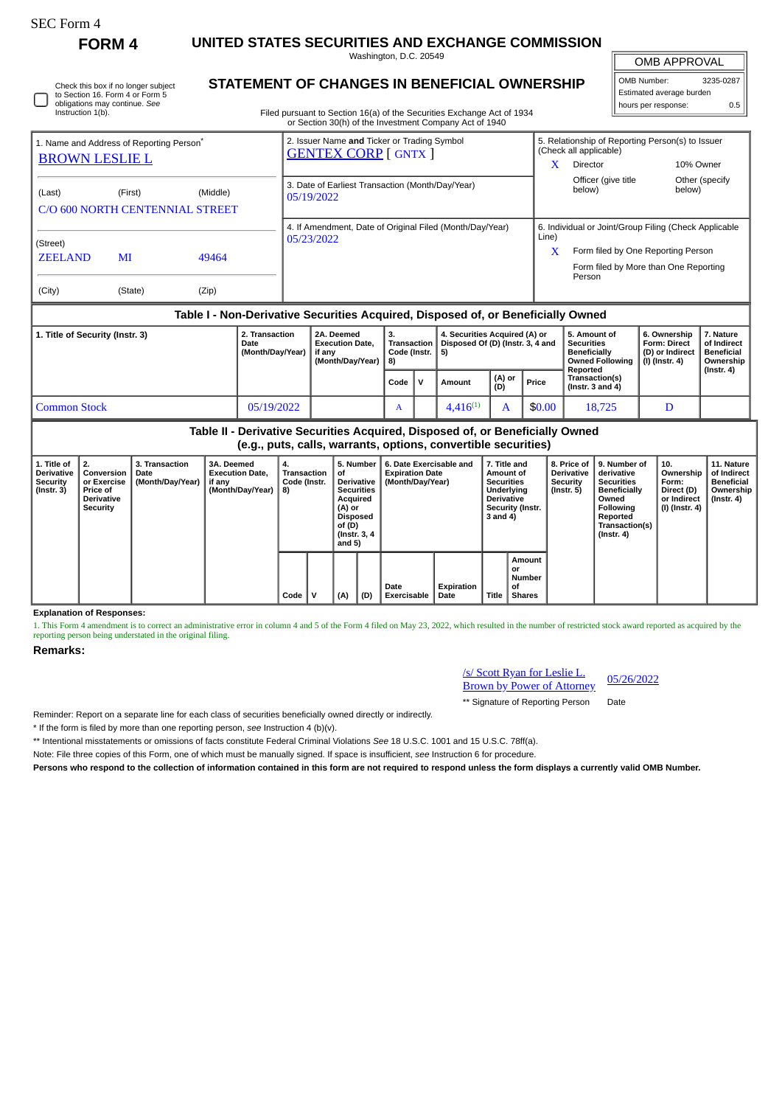| SEC Form - |
|------------|
|------------|

Instruction 1(b).

Check this box if no longer subject to Section 16. Form 4 or Form 5 obligations may continue. *See*

**FORM 4 UNITED STATES SECURITIES AND EXCHANGE COMMISSION**

Washington, D.C. 20549 **STATEMENT OF CHANGES IN BENEFICIAL OWNERSHIP**

OMB APPROVAL

| OMB Number:              | 3235-0287 |
|--------------------------|-----------|
| Estimated average burden |           |
| hours per response:      | 0.5       |

Filed pursuant to Section 16(a) of the Securities Exchange Act of 1934 or Section 30(h) of the Investment Company Act of 1940

| 1. Name and Address of Reporting Person <sup>®</sup>                             |               |                                             |  | 2. Issuer Name and Ticker or Trading Symbol                            |  |                               | 5. Relationship of Reporting Person(s) to Issuer |                                                                                                                                                |              |                |  |  |
|----------------------------------------------------------------------------------|---------------|---------------------------------------------|--|------------------------------------------------------------------------|--|-------------------------------|--------------------------------------------------|------------------------------------------------------------------------------------------------------------------------------------------------|--------------|----------------|--|--|
| <b>BROWN LESLIE L</b>                                                            |               |                                             |  | <b>GENTEX CORP</b> [ GNTX ]                                            |  |                               | x                                                | (Check all applicable)<br><b>Director</b>                                                                                                      | 10% Owner    |                |  |  |
| (Last)                                                                           | (First)       | (Middle)<br>C/O 600 NORTH CENTENNIAL STREET |  | 3. Date of Earliest Transaction (Month/Day/Year)<br>05/19/2022         |  |                               |                                                  | Officer (give title)<br>below)                                                                                                                 | below)       | Other (specify |  |  |
| (Street)<br><b>ZEELAND</b><br>(City)                                             | MI<br>(State) | 49464<br>(Zip)                              |  | 4. If Amendment, Date of Original Filed (Month/Day/Year)<br>05/23/2022 |  |                               | Line)<br>X                                       | 6. Individual or Joint/Group Filing (Check Applicable<br>Form filed by One Reporting Person<br>Form filed by More than One Reporting<br>Person |              |                |  |  |
| Table I - Non-Derivative Securities Acquired, Disposed of, or Beneficially Owned |               |                                             |  |                                                                        |  |                               |                                                  |                                                                                                                                                |              |                |  |  |
| 2. Transaction<br>2A. Deemed<br>З.<br>1. Title of Security (Instr. 3)            |               |                                             |  |                                                                        |  | 4. Securities Acquired (A) or |                                                  | 5. Amount of                                                                                                                                   | 6. Ownership | 17. Nature     |  |  |

|                     | Date<br>(Month/Day/Year)   if any | <b>Execution Date.</b><br>(Month/Dav/Year) | Code (Instr.   5)<br>l 8) |              | Transaction   Disposed Of (D) (Instr. 3, 4 and |                 |        | Securities<br><b>Beneficially</b><br><b>Owned Following  </b><br>Reported | <b>Form: Direct</b><br>(D) or Indirect<br>  (I) (Instr. 4) | of Indirect<br>Beneficial<br>Ownership<br>$($ Instr. 4 $)$ |
|---------------------|-----------------------------------|--------------------------------------------|---------------------------|--------------|------------------------------------------------|-----------------|--------|---------------------------------------------------------------------------|------------------------------------------------------------|------------------------------------------------------------|
|                     |                                   |                                            | Code                      | $\mathbf{V}$ | Amount                                         | $(A)$ or<br>(D) | Price  | Transaction(s)<br>$($ lnstr. 3 and 4 $)$                                  |                                                            |                                                            |
| <b>Common Stock</b> | 05/19/2022                        |                                            | л                         |              | $4.416^{(1)}$                                  |                 | \$0.00 | 18,725                                                                    |                                                            |                                                            |

**Table II - Derivative Securities Acquired, Disposed of, or Beneficially Owned (e.g., puts, calls, warrants, options, convertible securities)**

|                                                                         |                                                                                       |                                            | .                                                                  |                                         |     |                                                                                                                                                                          |                     |                                                                                                                                              |       |                                                      |                                                     |                                                                                                                                                |                                                                                     |                                                                    |
|-------------------------------------------------------------------------|---------------------------------------------------------------------------------------|--------------------------------------------|--------------------------------------------------------------------|-----------------------------------------|-----|--------------------------------------------------------------------------------------------------------------------------------------------------------------------------|---------------------|----------------------------------------------------------------------------------------------------------------------------------------------|-------|------------------------------------------------------|-----------------------------------------------------|------------------------------------------------------------------------------------------------------------------------------------------------|-------------------------------------------------------------------------------------|--------------------------------------------------------------------|
| 1. Title of<br><b>Derivative</b><br><b>Security</b><br>$($ Instr. 3 $)$ | l 2.<br>Conversion<br>or Exercise<br><b>Price of</b><br><b>Derivative</b><br>Security | 3. Transaction<br>Date<br>(Month/Day/Year) | 3A. Deemed<br><b>Execution Date,</b><br>if any<br>(Month/Day/Year) | 4.<br>Transaction<br>Code (Instr.<br>8) | οf  | 5. Number<br><b>Expiration Date</b><br>Derivative<br>(Month/Day/Year)<br><b>Securities</b><br>Acquired<br>(A) or<br><b>Disposed</b><br>of (D)<br>(Instr. 3, 4)<br>and 5) |                     | 7. Title and<br>6. Date Exercisable and<br>Amount of<br><b>Securities</b><br>Underlying<br><b>Derivative</b><br>Security (Instr.<br>3 and 4) |       |                                                      | 8. Price of<br>Derivative<br>Security<br>(Instr. 5) | 9. Number of<br>derivative<br><b>Securities</b><br><b>Beneficially</b><br>Owned<br>Following<br>Reported<br>Transaction(s)<br>$($ Instr. 4 $)$ | $^{\circ}$ 10.<br>Ownership<br>Form:<br>Direct (D)<br>or Indirect<br>(I) (Instr. 4) | 11. Nature<br>of Indirect<br>Beneficial<br>Ownership<br>(Instr. 4) |
|                                                                         |                                                                                       |                                            |                                                                    | Code                                    | (A) | (D)                                                                                                                                                                      | Date<br>Exercisable | Expiration<br>Date                                                                                                                           | Title | Amount<br>or<br><b>Number</b><br>οf<br><b>Shares</b> |                                                     |                                                                                                                                                |                                                                                     |                                                                    |

**Explanation of Responses:**

1. This Form 4 amendment is to correct an administrative error in column 4 and 5 of the Form 4 filed on May 23, 2022, which resulted in the number of restricted stock award reported as acquired by the reporting person being understated in the original filing.

## **Remarks:**

| /s/ Scott Ryan for Leslie L.      | 05/26/2022 |
|-----------------------------------|------------|
| <b>Brown by Power of Attorney</b> |            |

\*\* Signature of Reporting Person Date

Reminder: Report on a separate line for each class of securities beneficially owned directly or indirectly.

\* If the form is filed by more than one reporting person, *see* Instruction 4 (b)(v).

\*\* Intentional misstatements or omissions of facts constitute Federal Criminal Violations *See* 18 U.S.C. 1001 and 15 U.S.C. 78ff(a).

Note: File three copies of this Form, one of which must be manually signed. If space is insufficient, *see* Instruction 6 for procedure.

**Persons who respond to the collection of information contained in this form are not required to respond unless the form displays a currently valid OMB Number.**